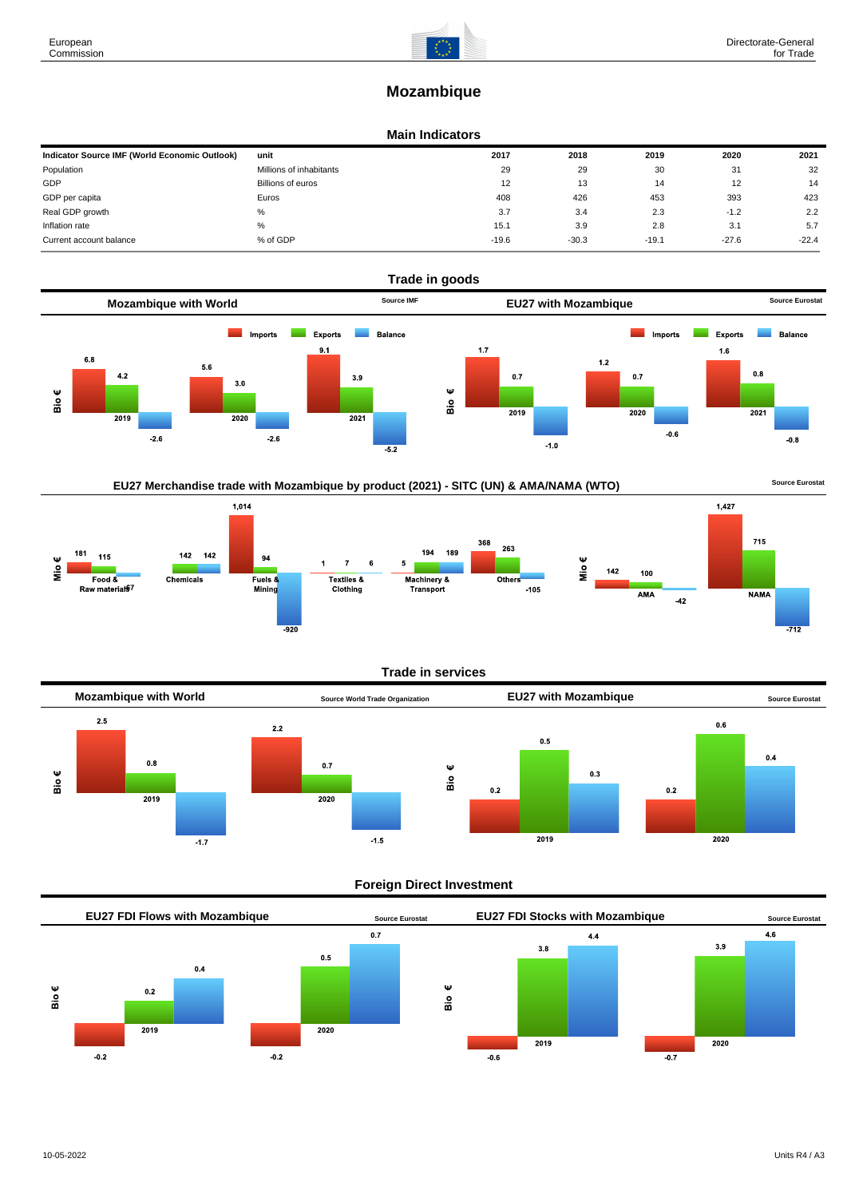# **Mozambique**

## **Main Indicators**

| Indicator Source IMF (World Economic Outlook) | unit                    | 2017    | 2018    | 2019    | 2020    | 2021    |
|-----------------------------------------------|-------------------------|---------|---------|---------|---------|---------|
| Population                                    | Millions of inhabitants | 29      | 29      | 30      | 31      | 32      |
| GDP                                           | Billions of euros       | 12      | 13      | 14      | 12      | 14      |
| GDP per capita                                | Euros                   | 408     | 426     | 453     | 393     | 423     |
| Real GDP growth                               | %                       | 3.7     | 3.4     | 2.3     | $-1.2$  | 2.2     |
| Inflation rate                                | %                       | 15.1    | 3.9     | 2.8     | 3.1     | 5.7     |
| Current account balance                       | % of GDP                | $-19.6$ | $-30.3$ | $-19.1$ | $-27.6$ | $-22.4$ |



## EU27 Merchandise trade with Mozambique by product (2021) - SITC (UN) & AMA/NAMA (WTO) **Source Eurostat**

 $1,014$  $1,427$  $715$ 368 263 181  $142$  $142$ 194 189 115 94 Mio€  $\overline{7}$ 1 ِفَّا  $142$ 100  $Food &$ Fuels &<br>Mining Textiles & Machinery & Chemicals Others Raw materiate  $-105$ Clothing Transport **AMA NAMA**  $-42$  $-712$ 

## **Trade in services**



## **Foreign Direct Investment**